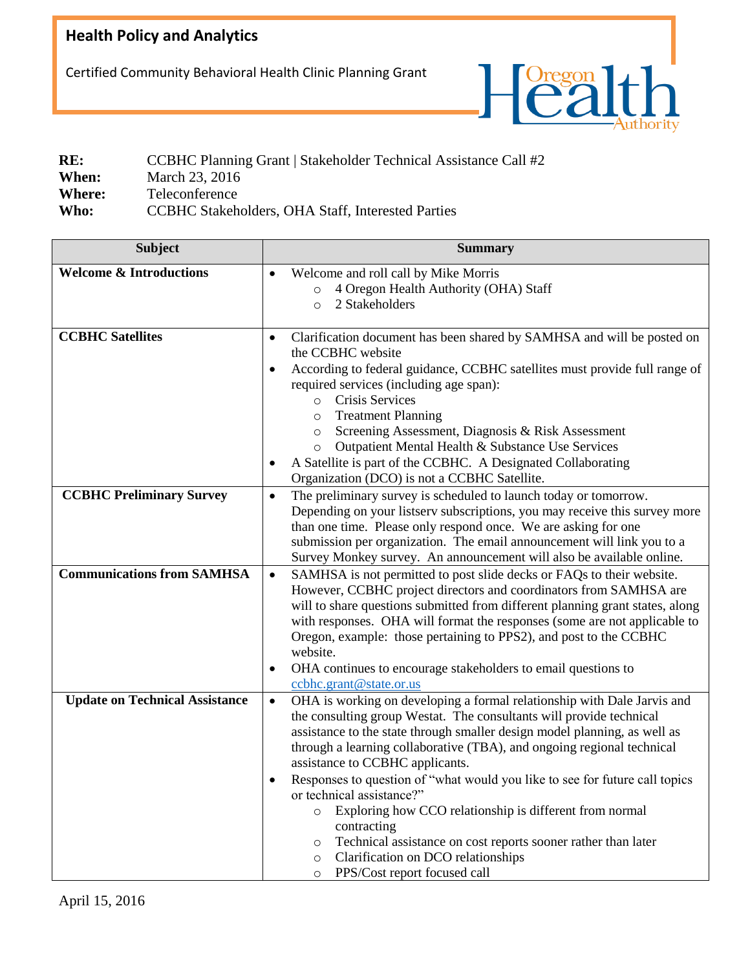## **Health Policy and Analytics**

Certified Community Behavioral Health Clinic Planning Grant



| RE:           | CCBHC Planning Grant   Stakeholder Technical Assistance Call #2 |
|---------------|-----------------------------------------------------------------|
| When:         | March 23, 2016                                                  |
| <b>Where:</b> | Teleconference                                                  |
| Who:          | CCBHC Stakeholders, OHA Staff, Interested Parties               |

| <b>Subject</b>                        | <b>Summary</b>                                                                                                                                                                                                                                                                                                                                                                                                                                                                                                                                                                                                                                                                                                                 |
|---------------------------------------|--------------------------------------------------------------------------------------------------------------------------------------------------------------------------------------------------------------------------------------------------------------------------------------------------------------------------------------------------------------------------------------------------------------------------------------------------------------------------------------------------------------------------------------------------------------------------------------------------------------------------------------------------------------------------------------------------------------------------------|
| <b>Welcome &amp; Introductions</b>    | Welcome and roll call by Mike Morris<br>$\bullet$<br>4 Oregon Health Authority (OHA) Staff<br>$\circ$<br>2 Stakeholders<br>$\circ$                                                                                                                                                                                                                                                                                                                                                                                                                                                                                                                                                                                             |
| <b>CCBHC</b> Satellites               | Clarification document has been shared by SAMHSA and will be posted on<br>$\bullet$<br>the CCBHC website<br>According to federal guidance, CCBHC satellites must provide full range of<br>٠<br>required services (including age span):<br>o Crisis Services<br><b>Treatment Planning</b><br>$\circ$<br>Screening Assessment, Diagnosis & Risk Assessment<br>$\circ$<br>Outpatient Mental Health & Substance Use Services<br>$\circ$<br>A Satellite is part of the CCBHC. A Designated Collaborating<br>٠<br>Organization (DCO) is not a CCBHC Satellite.                                                                                                                                                                       |
| <b>CCBHC Preliminary Survey</b>       | The preliminary survey is scheduled to launch today or tomorrow.<br>$\bullet$<br>Depending on your listserv subscriptions, you may receive this survey more<br>than one time. Please only respond once. We are asking for one<br>submission per organization. The email announcement will link you to a<br>Survey Monkey survey. An announcement will also be available online.                                                                                                                                                                                                                                                                                                                                                |
| <b>Communications from SAMHSA</b>     | SAMHSA is not permitted to post slide decks or FAQs to their website.<br>$\bullet$<br>However, CCBHC project directors and coordinators from SAMHSA are<br>will to share questions submitted from different planning grant states, along<br>with responses. OHA will format the responses (some are not applicable to<br>Oregon, example: those pertaining to PPS2), and post to the CCBHC<br>website.<br>OHA continues to encourage stakeholders to email questions to<br>٠<br>ccbhc.grant@state.or.us                                                                                                                                                                                                                        |
| <b>Update on Technical Assistance</b> | OHA is working on developing a formal relationship with Dale Jarvis and<br>$\bullet$<br>the consulting group Westat. The consultants will provide technical<br>assistance to the state through smaller design model planning, as well as<br>through a learning collaborative (TBA), and ongoing regional technical<br>assistance to CCBHC applicants.<br>Responses to question of "what would you like to see for future call topics<br>or technical assistance?"<br>Exploring how CCO relationship is different from normal<br>$\circ$<br>contracting<br>Technical assistance on cost reports sooner rather than later<br>$\circ$<br>Clarification on DCO relationships<br>$\circ$<br>PPS/Cost report focused call<br>$\circ$ |